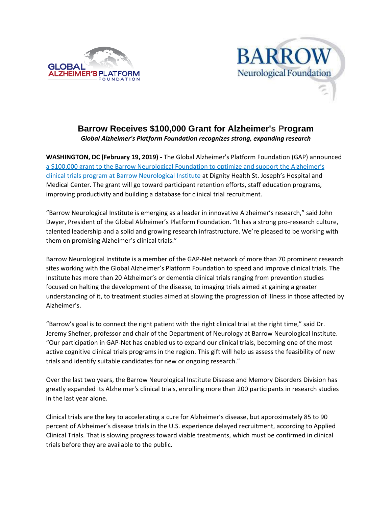



# **Barrow Receives \$100,000 Grant for Alzheimer's Program** *Global Alzheimer's Platform Foundation recognizes strong, expanding research*

**WASHINGTON, DC (February 19, 2019) -** The Global Alzheimer's Platform Foundation (GAP) announced [a \\$100,000 grant to the Barrow Neurological Foundation to optimize and support](https://www.supportbarrow.org/news/barrow-receives-100000-grant-for-alzheimers-program/) the Alzheimer's [clinical trials program at Barrow Neurological Institute](https://www.supportbarrow.org/news/barrow-receives-100000-grant-for-alzheimers-program/) at Dignity Health St. Joseph's Hospital and Medical Center. The grant will go toward participant retention efforts, staff education programs, improving productivity and building a database for clinical trial recruitment.

"Barrow Neurological Institute is emerging as a leader in innovative Alzheimer's research," said John Dwyer, President of the Global Alzheimer's Platform Foundation. "It has a strong pro-research culture, talented leadership and a solid and growing research infrastructure. We're pleased to be working with them on promising Alzheimer's clinical trials."

Barrow Neurological Institute is a member of the GAP-Net network of more than 70 prominent research sites working with the Global Alzheimer's Platform Foundation to speed and improve clinical trials. The Institute has more than 20 Alzheimer's or dementia clinical trials ranging from prevention studies focused on halting the development of the disease, to imaging trials aimed at gaining a greater understanding of it, to treatment studies aimed at slowing the progression of illness in those affected by Alzheimer's.

"Barrow's goal is to connect the right patient with the right clinical trial at the right time," said Dr. Jeremy Shefner, professor and chair of the Department of Neurology at Barrow Neurological Institute. "Our participation in GAP-Net has enabled us to expand our clinical trials, becoming one of the most active cognitive clinical trials programs in the region. This gift will help us assess the feasibility of new trials and identify suitable candidates for new or ongoing research."

Over the last two years, the Barrow Neurological Institute Disease and Memory Disorders Division has greatly expanded its Alzheimer's clinical trials, enrolling more than 200 participants in research studies in the last year alone.

Clinical trials are the key to accelerating a cure for Alzheimer's disease, but approximately 85 to 90 percent of Alzheimer's disease trials in the U.S. experience delayed recruitment, according to Applied Clinical Trials. That is slowing progress toward viable treatments, which must be confirmed in clinical trials before they are available to the public.